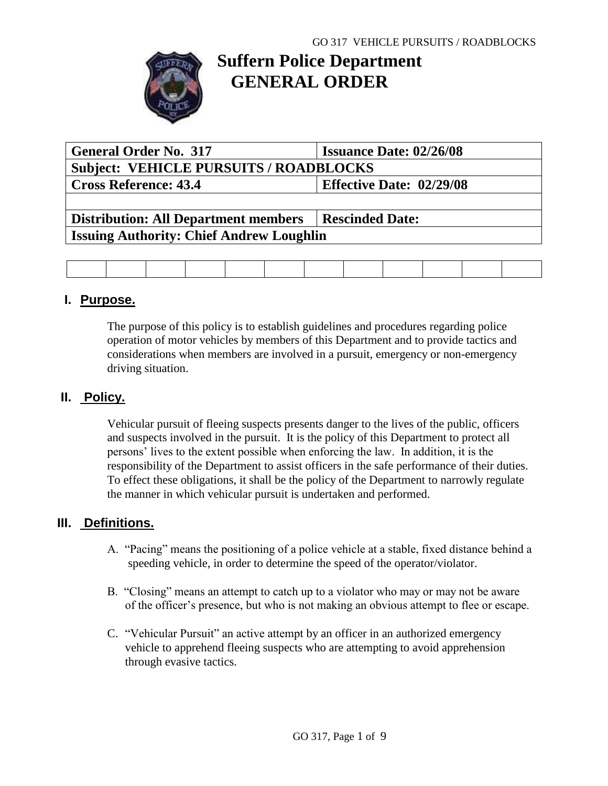

# **Suffern Police Department GENERAL ORDER**

| <b>General Order No. 317</b>                    | <b>Issuance Date: 02/26/08</b>  |  |  |  |  |  |  |  |
|-------------------------------------------------|---------------------------------|--|--|--|--|--|--|--|
| <b>Subject: VEHICLE PURSUITS / ROADBLOCKS</b>   |                                 |  |  |  |  |  |  |  |
| <b>Cross Reference: 43.4</b>                    | <b>Effective Date: 02/29/08</b> |  |  |  |  |  |  |  |
|                                                 |                                 |  |  |  |  |  |  |  |
| <b>Distribution: All Department members</b>     | <b>Rescinded Date:</b>          |  |  |  |  |  |  |  |
| <b>Issuing Authority: Chief Andrew Loughlin</b> |                                 |  |  |  |  |  |  |  |
|                                                 |                                 |  |  |  |  |  |  |  |

#### **I. Purpose.**

The purpose of this policy is to establish guidelines and procedures regarding police operation of motor vehicles by members of this Department and to provide tactics and considerations when members are involved in a pursuit, emergency or non-emergency driving situation.

## **II. Policy.**

Vehicular pursuit of fleeing suspects presents danger to the lives of the public, officers and suspects involved in the pursuit. It is the policy of this Department to protect all persons' lives to the extent possible when enforcing the law. In addition, it is the responsibility of the Department to assist officers in the safe performance of their duties. To effect these obligations, it shall be the policy of the Department to narrowly regulate the manner in which vehicular pursuit is undertaken and performed.

## **III. Definitions.**

- A. "Pacing" means the positioning of a police vehicle at a stable, fixed distance behind a speeding vehicle, in order to determine the speed of the operator/violator.
- B. "Closing" means an attempt to catch up to a violator who may or may not be aware of the officer's presence, but who is not making an obvious attempt to flee or escape.
- C. "Vehicular Pursuit" an active attempt by an officer in an authorized emergency vehicle to apprehend fleeing suspects who are attempting to avoid apprehension through evasive tactics.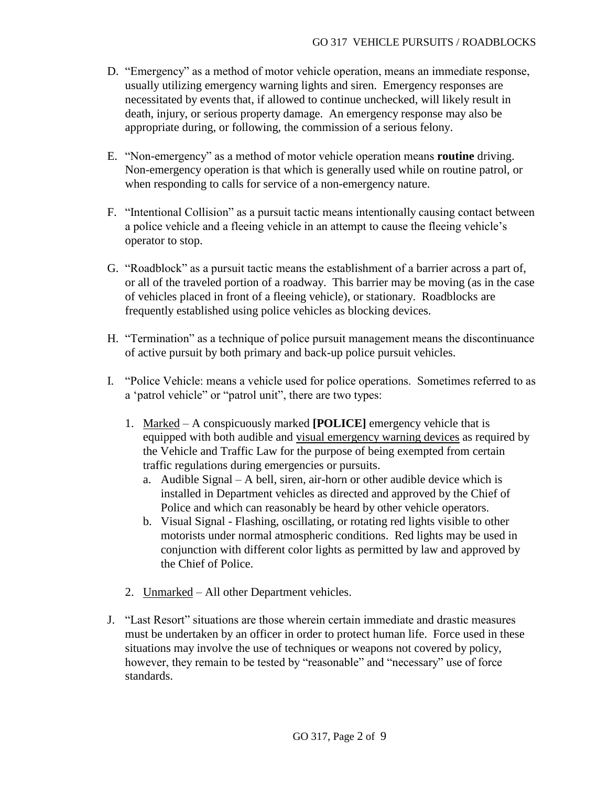- D. "Emergency" as a method of motor vehicle operation, means an immediate response, usually utilizing emergency warning lights and siren. Emergency responses are necessitated by events that, if allowed to continue unchecked, will likely result in death, injury, or serious property damage. An emergency response may also be appropriate during, or following, the commission of a serious felony.
- E. "Non-emergency" as a method of motor vehicle operation means **routine** driving. Non-emergency operation is that which is generally used while on routine patrol, or when responding to calls for service of a non-emergency nature.
- F. "Intentional Collision" as a pursuit tactic means intentionally causing contact between a police vehicle and a fleeing vehicle in an attempt to cause the fleeing vehicle's operator to stop.
- G. "Roadblock" as a pursuit tactic means the establishment of a barrier across a part of, or all of the traveled portion of a roadway. This barrier may be moving (as in the case of vehicles placed in front of a fleeing vehicle), or stationary. Roadblocks are frequently established using police vehicles as blocking devices.
- H. "Termination" as a technique of police pursuit management means the discontinuance of active pursuit by both primary and back-up police pursuit vehicles.
- I. "Police Vehicle: means a vehicle used for police operations. Sometimes referred to as a 'patrol vehicle" or "patrol unit", there are two types:
	- 1. Marked A conspicuously marked **[POLICE]** emergency vehicle that is equipped with both audible and visual emergency warning devices as required by the Vehicle and Traffic Law for the purpose of being exempted from certain traffic regulations during emergencies or pursuits.
		- a. Audible Signal A bell, siren, air-horn or other audible device which is installed in Department vehicles as directed and approved by the Chief of Police and which can reasonably be heard by other vehicle operators.
		- b. Visual Signal Flashing, oscillating, or rotating red lights visible to other motorists under normal atmospheric conditions. Red lights may be used in conjunction with different color lights as permitted by law and approved by the Chief of Police.
	- 2. Unmarked All other Department vehicles.
- J. "Last Resort" situations are those wherein certain immediate and drastic measures must be undertaken by an officer in order to protect human life. Force used in these situations may involve the use of techniques or weapons not covered by policy, however, they remain to be tested by "reasonable" and "necessary" use of force standards.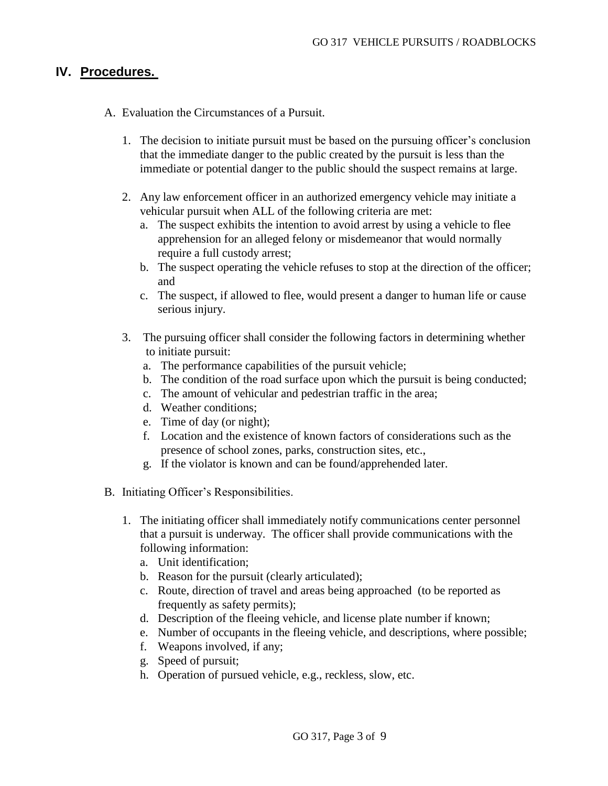#### **IV. Procedures.**

- A. Evaluation the Circumstances of a Pursuit.
	- 1. The decision to initiate pursuit must be based on the pursuing officer's conclusion that the immediate danger to the public created by the pursuit is less than the immediate or potential danger to the public should the suspect remains at large.
	- 2. Any law enforcement officer in an authorized emergency vehicle may initiate a vehicular pursuit when ALL of the following criteria are met:
		- a. The suspect exhibits the intention to avoid arrest by using a vehicle to flee apprehension for an alleged felony or misdemeanor that would normally require a full custody arrest;
		- b. The suspect operating the vehicle refuses to stop at the direction of the officer; and
		- c. The suspect, if allowed to flee, would present a danger to human life or cause serious injury.
	- 3. The pursuing officer shall consider the following factors in determining whether to initiate pursuit:
		- a. The performance capabilities of the pursuit vehicle;
		- b. The condition of the road surface upon which the pursuit is being conducted;
		- c. The amount of vehicular and pedestrian traffic in the area;
		- d. Weather conditions;
		- e. Time of day (or night);
		- f. Location and the existence of known factors of considerations such as the presence of school zones, parks, construction sites, etc.,
		- g. If the violator is known and can be found/apprehended later.
- B. Initiating Officer's Responsibilities.
	- 1. The initiating officer shall immediately notify communications center personnel that a pursuit is underway. The officer shall provide communications with the following information:
		- a. Unit identification;
		- b. Reason for the pursuit (clearly articulated);
		- c. Route, direction of travel and areas being approached (to be reported as frequently as safety permits);
		- d. Description of the fleeing vehicle, and license plate number if known;
		- e. Number of occupants in the fleeing vehicle, and descriptions, where possible;
		- f. Weapons involved, if any;
		- g. Speed of pursuit;
		- h. Operation of pursued vehicle, e.g., reckless, slow, etc.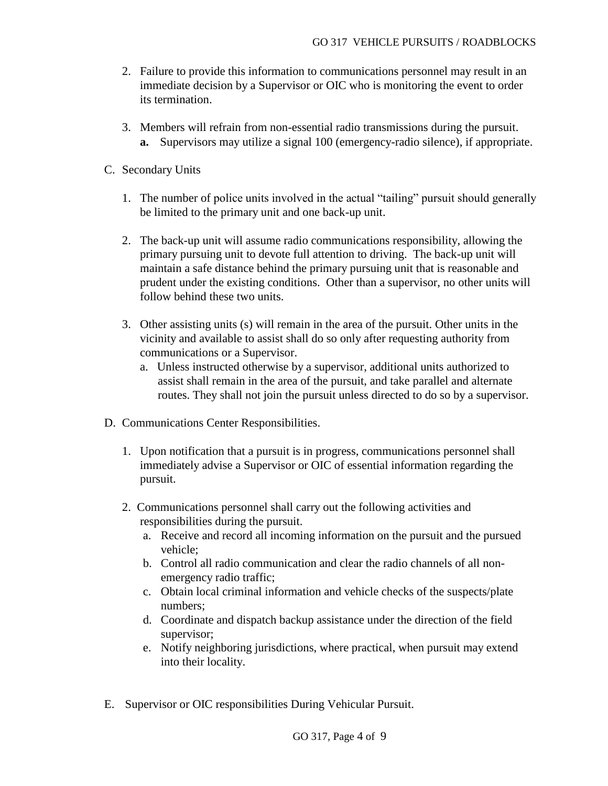- 2. Failure to provide this information to communications personnel may result in an immediate decision by a Supervisor or OIC who is monitoring the event to order its termination.
- 3. Members will refrain from non-essential radio transmissions during the pursuit. **a.** Supervisors may utilize a signal 100 (emergency-radio silence), if appropriate.
- C. Secondary Units
	- 1. The number of police units involved in the actual "tailing" pursuit should generally be limited to the primary unit and one back-up unit.
	- 2. The back-up unit will assume radio communications responsibility, allowing the primary pursuing unit to devote full attention to driving. The back-up unit will maintain a safe distance behind the primary pursuing unit that is reasonable and prudent under the existing conditions. Other than a supervisor, no other units will follow behind these two units.
	- 3. Other assisting units (s) will remain in the area of the pursuit. Other units in the vicinity and available to assist shall do so only after requesting authority from communications or a Supervisor.
		- a. Unless instructed otherwise by a supervisor, additional units authorized to assist shall remain in the area of the pursuit, and take parallel and alternate routes. They shall not join the pursuit unless directed to do so by a supervisor.
- D. Communications Center Responsibilities.
	- 1. Upon notification that a pursuit is in progress, communications personnel shall immediately advise a Supervisor or OIC of essential information regarding the pursuit.
	- 2. Communications personnel shall carry out the following activities and responsibilities during the pursuit.
		- a. Receive and record all incoming information on the pursuit and the pursued vehicle;
		- b. Control all radio communication and clear the radio channels of all nonemergency radio traffic;
		- c. Obtain local criminal information and vehicle checks of the suspects/plate numbers;
		- d. Coordinate and dispatch backup assistance under the direction of the field supervisor;
		- e. Notify neighboring jurisdictions, where practical, when pursuit may extend into their locality.
- E. Supervisor or OIC responsibilities During Vehicular Pursuit.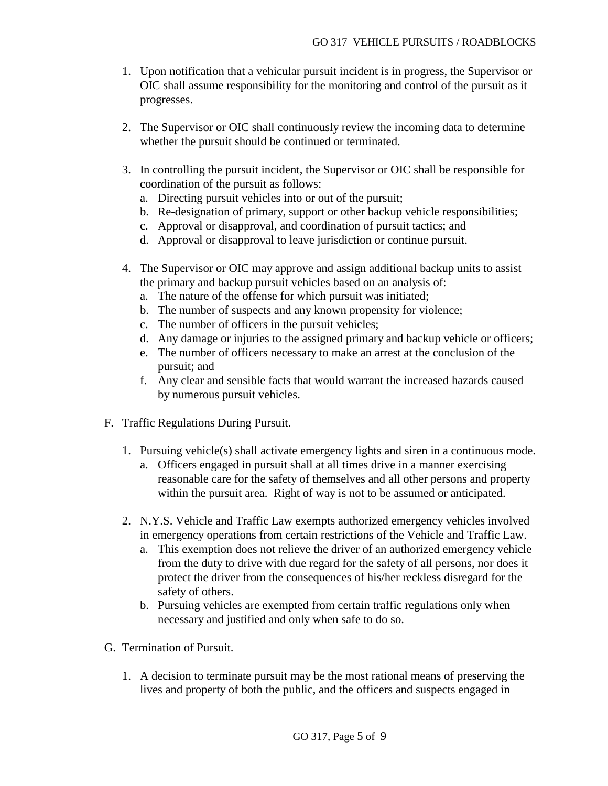- 1. Upon notification that a vehicular pursuit incident is in progress, the Supervisor or OIC shall assume responsibility for the monitoring and control of the pursuit as it progresses.
- 2. The Supervisor or OIC shall continuously review the incoming data to determine whether the pursuit should be continued or terminated.
- 3. In controlling the pursuit incident, the Supervisor or OIC shall be responsible for coordination of the pursuit as follows:
	- a. Directing pursuit vehicles into or out of the pursuit;
	- b. Re-designation of primary, support or other backup vehicle responsibilities;
	- c. Approval or disapproval, and coordination of pursuit tactics; and
	- d. Approval or disapproval to leave jurisdiction or continue pursuit.
- 4. The Supervisor or OIC may approve and assign additional backup units to assist the primary and backup pursuit vehicles based on an analysis of:
	- a. The nature of the offense for which pursuit was initiated;
	- b. The number of suspects and any known propensity for violence;
	- c. The number of officers in the pursuit vehicles;
	- d. Any damage or injuries to the assigned primary and backup vehicle or officers;
	- e. The number of officers necessary to make an arrest at the conclusion of the pursuit; and
	- f. Any clear and sensible facts that would warrant the increased hazards caused by numerous pursuit vehicles.
- F. Traffic Regulations During Pursuit.
	- 1. Pursuing vehicle(s) shall activate emergency lights and siren in a continuous mode.
		- a. Officers engaged in pursuit shall at all times drive in a manner exercising reasonable care for the safety of themselves and all other persons and property within the pursuit area. Right of way is not to be assumed or anticipated.
	- 2. N.Y.S. Vehicle and Traffic Law exempts authorized emergency vehicles involved in emergency operations from certain restrictions of the Vehicle and Traffic Law.
		- a. This exemption does not relieve the driver of an authorized emergency vehicle from the duty to drive with due regard for the safety of all persons, nor does it protect the driver from the consequences of his/her reckless disregard for the safety of others.
		- b. Pursuing vehicles are exempted from certain traffic regulations only when necessary and justified and only when safe to do so.
- G. Termination of Pursuit.
	- 1. A decision to terminate pursuit may be the most rational means of preserving the lives and property of both the public, and the officers and suspects engaged in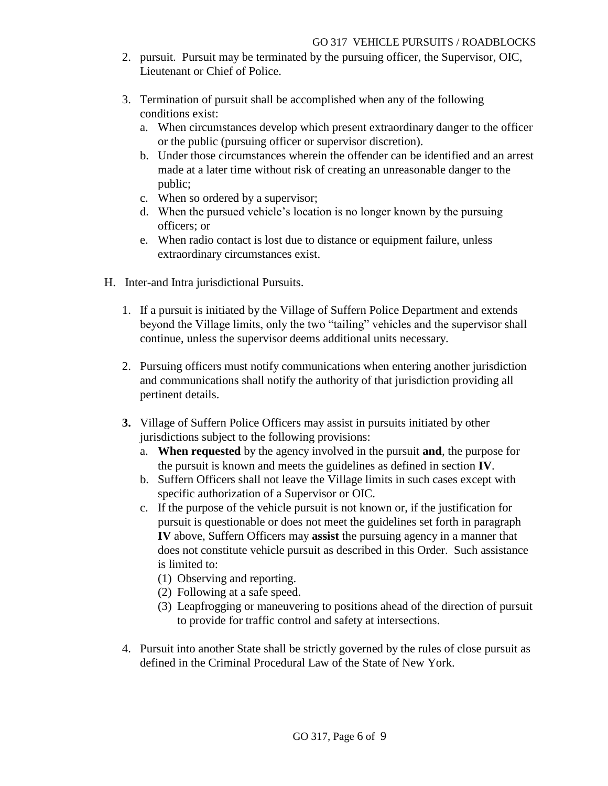- 2. pursuit. Pursuit may be terminated by the pursuing officer, the Supervisor, OIC, Lieutenant or Chief of Police.
- 3. Termination of pursuit shall be accomplished when any of the following conditions exist:
	- a. When circumstances develop which present extraordinary danger to the officer or the public (pursuing officer or supervisor discretion).
	- b. Under those circumstances wherein the offender can be identified and an arrest made at a later time without risk of creating an unreasonable danger to the public;
	- c. When so ordered by a supervisor;
	- d. When the pursued vehicle's location is no longer known by the pursuing officers; or
	- e. When radio contact is lost due to distance or equipment failure, unless extraordinary circumstances exist.
- H. Inter-and Intra jurisdictional Pursuits.
	- 1. If a pursuit is initiated by the Village of Suffern Police Department and extends beyond the Village limits, only the two "tailing" vehicles and the supervisor shall continue, unless the supervisor deems additional units necessary.
	- 2. Pursuing officers must notify communications when entering another jurisdiction and communications shall notify the authority of that jurisdiction providing all pertinent details.
	- **3.** Village of Suffern Police Officers may assist in pursuits initiated by other jurisdictions subject to the following provisions:
		- a. **When requested** by the agency involved in the pursuit **and**, the purpose for the pursuit is known and meets the guidelines as defined in section **IV**.
		- b. Suffern Officers shall not leave the Village limits in such cases except with specific authorization of a Supervisor or OIC.
		- c. If the purpose of the vehicle pursuit is not known or, if the justification for pursuit is questionable or does not meet the guidelines set forth in paragraph **IV** above, Suffern Officers may **assist** the pursuing agency in a manner that does not constitute vehicle pursuit as described in this Order. Such assistance is limited to:
			- (1) Observing and reporting.
			- (2) Following at a safe speed.
			- (3) Leapfrogging or maneuvering to positions ahead of the direction of pursuit to provide for traffic control and safety at intersections.
	- 4. Pursuit into another State shall be strictly governed by the rules of close pursuit as defined in the Criminal Procedural Law of the State of New York.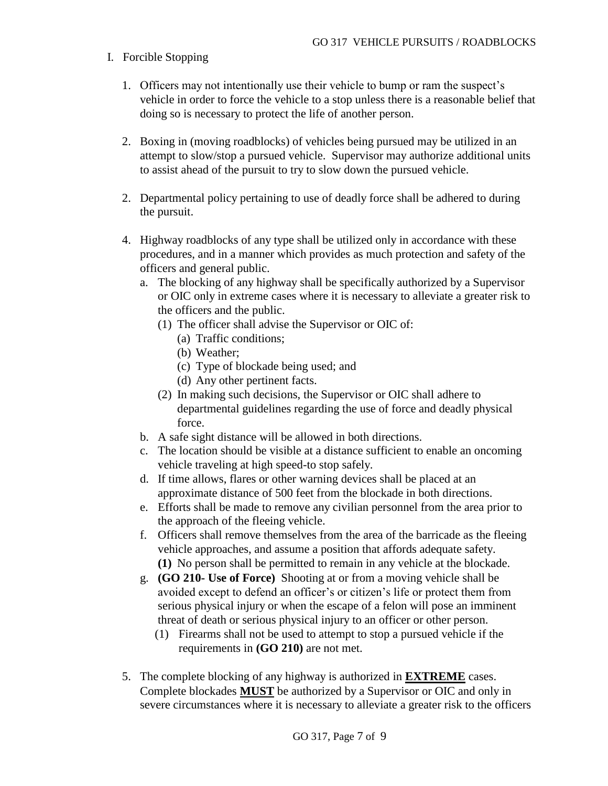#### I. Forcible Stopping

- 1. Officers may not intentionally use their vehicle to bump or ram the suspect's vehicle in order to force the vehicle to a stop unless there is a reasonable belief that doing so is necessary to protect the life of another person.
- 2. Boxing in (moving roadblocks) of vehicles being pursued may be utilized in an attempt to slow/stop a pursued vehicle. Supervisor may authorize additional units to assist ahead of the pursuit to try to slow down the pursued vehicle.
- 2. Departmental policy pertaining to use of deadly force shall be adhered to during the pursuit.
- 4. Highway roadblocks of any type shall be utilized only in accordance with these procedures, and in a manner which provides as much protection and safety of the officers and general public.
	- a. The blocking of any highway shall be specifically authorized by a Supervisor or OIC only in extreme cases where it is necessary to alleviate a greater risk to the officers and the public.
		- (1) The officer shall advise the Supervisor or OIC of:
			- (a) Traffic conditions;
			- (b) Weather;
			- (c) Type of blockade being used; and
			- (d) Any other pertinent facts.
		- (2) In making such decisions, the Supervisor or OIC shall adhere to departmental guidelines regarding the use of force and deadly physical force.
	- b. A safe sight distance will be allowed in both directions.
	- c. The location should be visible at a distance sufficient to enable an oncoming vehicle traveling at high speed-to stop safely.
	- d. If time allows, flares or other warning devices shall be placed at an approximate distance of 500 feet from the blockade in both directions.
	- e. Efforts shall be made to remove any civilian personnel from the area prior to the approach of the fleeing vehicle.
	- f. Officers shall remove themselves from the area of the barricade as the fleeing vehicle approaches, and assume a position that affords adequate safety. **(1)** No person shall be permitted to remain in any vehicle at the blockade.
	- g. **(GO 210- Use of Force)** Shooting at or from a moving vehicle shall be avoided except to defend an officer's or citizen's life or protect them from serious physical injury or when the escape of a felon will pose an imminent threat of death or serious physical injury to an officer or other person.
		- (1) Firearms shall not be used to attempt to stop a pursued vehicle if the requirements in **(GO 210)** are not met.
- 5. The complete blocking of any highway is authorized in **EXTREME** cases. Complete blockades **MUST** be authorized by a Supervisor or OIC and only in severe circumstances where it is necessary to alleviate a greater risk to the officers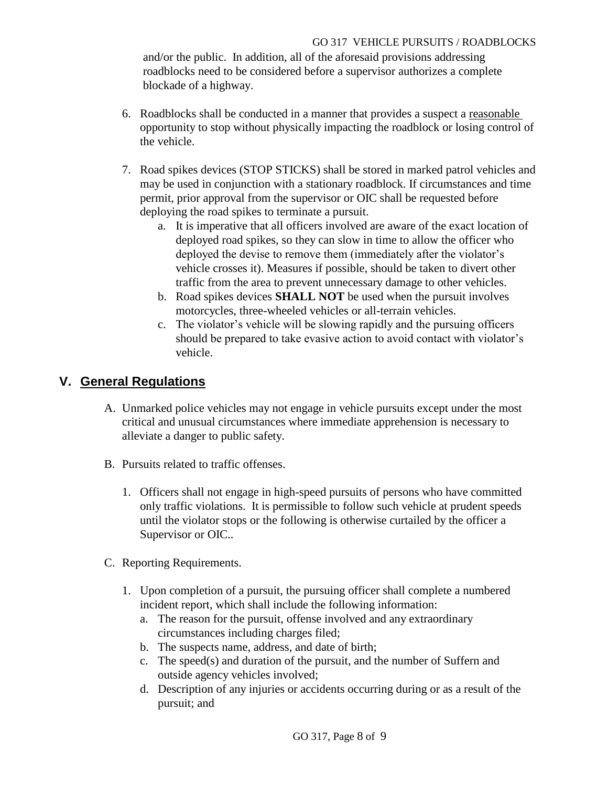and/or the public. In addition, all of the aforesaid provisions addressing roadblocks need to be considered before a supervisor authorizes a complete blockade of a highway.

- 6. Roadblocks shall be conducted in a manner that provides a suspect a reasonable opportunity to stop without physically impacting the roadblock or losing control of the vehicle.
- 7. Road spikes devices (STOP STICKS) shall be stored in marked patrol vehicles and may be used in conjunction with a stationary roadblock. If circumstances and time permit, prior approval from the supervisor or OIC shall be requested before deploying the road spikes to terminate a pursuit.
	- a. It is imperative that all officers involved are aware of the exact location of deployed road spikes, so they can slow in time to allow the officer who deployed the devise to remove them (immediately after the violator's vehicle crosses it). Measures if possible, should be taken to divert other traffic from the area to prevent unnecessary damage to other vehicles.
	- b. Road spikes devices **SHALL NOT** be used when the pursuit involves motorcycles, three-wheeled vehicles or all-terrain vehicles.
	- c. The violator's vehicle will be slowing rapidly and the pursuing officers should be prepared to take evasive action to avoid contact with violator's vehicle.

## **V. General Regulations**

- A. Unmarked police vehicles may not engage in vehicle pursuits except under the most critical and unusual circumstances where immediate apprehension is necessary to alleviate a danger to public safety.
- B. Pursuits related to traffic offenses.
	- 1. Officers shall not engage in high-speed pursuits of persons who have committed only traffic violations. It is permissible to follow such vehicle at prudent speeds until the violator stops or the following is otherwise curtailed by the officer a Supervisor or OIC..
- C. Reporting Requirements.
	- 1. Upon completion of a pursuit, the pursuing officer shall complete a numbered incident report, which shall include the following information:
		- a. The reason for the pursuit, offense involved and any extraordinary circumstances including charges filed;
		- b. The suspects name, address, and date of birth;
		- c. The speed(s) and duration of the pursuit, and the number of Suffern and outside agency vehicles involved;
		- d. Description of any injuries or accidents occurring during or as a result of the pursuit; and